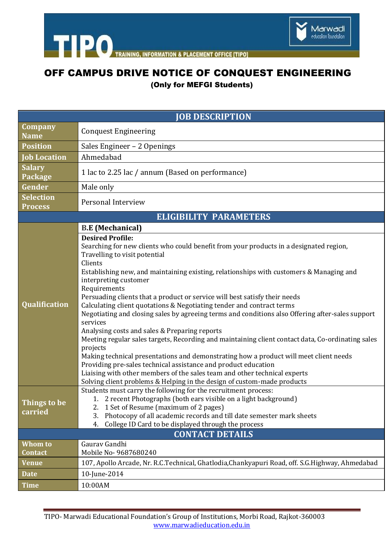

TRAINING, INFORMATION & PLACEMENT OFFICE [TIPO]

## OFF CAMPUS DRIVE NOTICE OF CONQUEST ENGINEERING

(Only for MEFGI Students)

| <b>JOB DESCRIPTION</b>             |                                                                                                                                                                                                                                                                                                                                                                                                                                                                                                                                                                                                                                                                                                                                                                                                                                                                                                                                                                                                                                                               |
|------------------------------------|---------------------------------------------------------------------------------------------------------------------------------------------------------------------------------------------------------------------------------------------------------------------------------------------------------------------------------------------------------------------------------------------------------------------------------------------------------------------------------------------------------------------------------------------------------------------------------------------------------------------------------------------------------------------------------------------------------------------------------------------------------------------------------------------------------------------------------------------------------------------------------------------------------------------------------------------------------------------------------------------------------------------------------------------------------------|
| Company<br><b>Name</b>             | <b>Conquest Engineering</b>                                                                                                                                                                                                                                                                                                                                                                                                                                                                                                                                                                                                                                                                                                                                                                                                                                                                                                                                                                                                                                   |
| <b>Position</b>                    | Sales Engineer - 2 Openings                                                                                                                                                                                                                                                                                                                                                                                                                                                                                                                                                                                                                                                                                                                                                                                                                                                                                                                                                                                                                                   |
| <b>Job Location</b>                | Ahmedabad                                                                                                                                                                                                                                                                                                                                                                                                                                                                                                                                                                                                                                                                                                                                                                                                                                                                                                                                                                                                                                                     |
| <b>Salary</b><br>Package           | 1 lac to 2.25 lac / annum (Based on performance)                                                                                                                                                                                                                                                                                                                                                                                                                                                                                                                                                                                                                                                                                                                                                                                                                                                                                                                                                                                                              |
| Gender                             | Male only                                                                                                                                                                                                                                                                                                                                                                                                                                                                                                                                                                                                                                                                                                                                                                                                                                                                                                                                                                                                                                                     |
| <b>Selection</b><br><b>Process</b> | Personal Interview                                                                                                                                                                                                                                                                                                                                                                                                                                                                                                                                                                                                                                                                                                                                                                                                                                                                                                                                                                                                                                            |
| <b>ELIGIBILITY PARAMETERS</b>      |                                                                                                                                                                                                                                                                                                                                                                                                                                                                                                                                                                                                                                                                                                                                                                                                                                                                                                                                                                                                                                                               |
|                                    | <b>B.E</b> (Mechanical)                                                                                                                                                                                                                                                                                                                                                                                                                                                                                                                                                                                                                                                                                                                                                                                                                                                                                                                                                                                                                                       |
| <b>Qualification</b>               | <b>Desired Profile:</b><br>Searching for new clients who could benefit from your products in a designated region,<br>Travelling to visit potential<br>Clients<br>Establishing new, and maintaining existing, relationships with customers & Managing and<br>interpreting customer<br>Requirements<br>Persuading clients that a product or service will best satisfy their needs<br>Calculating client quotations & Negotiating tender and contract terms<br>Negotiating and closing sales by agreeing terms and conditions also Offering after-sales support<br>services<br>Analysing costs and sales & Preparing reports<br>Meeting regular sales targets, Recording and maintaining client contact data, Co-ordinating sales<br>projects<br>Making technical presentations and demonstrating how a product will meet client needs<br>Providing pre-sales technical assistance and product education<br>Liaising with other members of the sales team and other technical experts<br>Solving client problems & Helping in the design of custom-made products |
| Things to be<br>carried            | Students must carry the following for the recruitment process:<br>1. 2 recent Photographs (both ears visible on a light background)<br>1 Set of Resume (maximum of 2 pages)<br>2.<br>Photocopy of all academic records and till date semester mark sheets<br>3.<br>College ID Card to be displayed through the process<br>4.<br><b>CONTACT DETAILS</b>                                                                                                                                                                                                                                                                                                                                                                                                                                                                                                                                                                                                                                                                                                        |
| Whom to                            | Gaurav Gandhi                                                                                                                                                                                                                                                                                                                                                                                                                                                                                                                                                                                                                                                                                                                                                                                                                                                                                                                                                                                                                                                 |
| Contact                            | Mobile No- 9687680240                                                                                                                                                                                                                                                                                                                                                                                                                                                                                                                                                                                                                                                                                                                                                                                                                                                                                                                                                                                                                                         |
| <b>Venue</b>                       | 107, Apollo Arcade, Nr. R.C.Technical, Ghatlodia, Chankyapuri Road, off. S.G.Highway, Ahmedabad                                                                                                                                                                                                                                                                                                                                                                                                                                                                                                                                                                                                                                                                                                                                                                                                                                                                                                                                                               |
| <b>Date</b>                        | 10-June-2014                                                                                                                                                                                                                                                                                                                                                                                                                                                                                                                                                                                                                                                                                                                                                                                                                                                                                                                                                                                                                                                  |
| <b>Time</b>                        | 10:00AM                                                                                                                                                                                                                                                                                                                                                                                                                                                                                                                                                                                                                                                                                                                                                                                                                                                                                                                                                                                                                                                       |